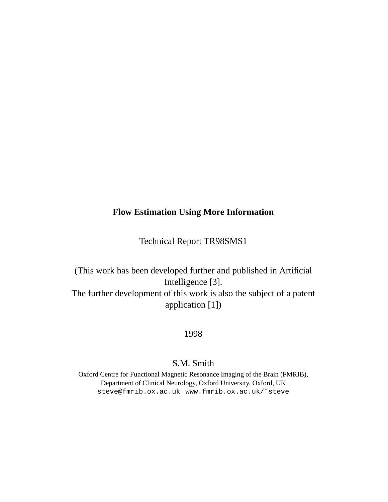#### **Flow Estimation Using More Information**

Technical Report TR98SMS1

(This work has been developed further and published in Artificial Intelligence [3]. The further development of this work is also the subject of a patent application [1])

1998

## S.M. Smith

Oxford Centre for Functional Magnetic Resonance Imaging of the Brain (FMRIB), Department of Clinical Neurology, Oxford University, Oxford, UK steve@fmrib.ox.ac.uk www.fmrib.ox.ac.uk/˜steve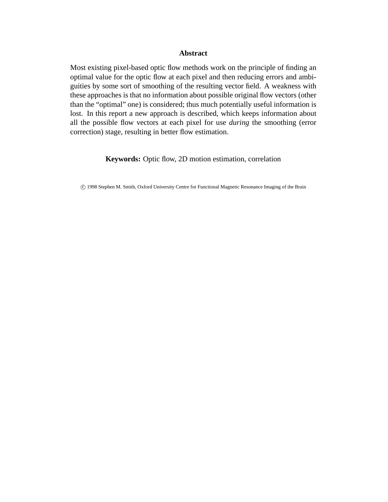#### **Abstract**

Most existing pixel-based optic flow methods work on the principle of finding an optimal value for the optic flow at each pixel and then reducing errors and ambiguities by some sort of smoothing of the resulting vector field. A weakness with these approaches is that no information about possible original flow vectors (other than the "optimal" one) is considered; thus much potentially useful information is lost. In this report a new approach is described, which keeps information about all the possible flow vectors at each pixel for use *during* the smoothing (error correction) stage, resulting in better flow estimation.

**Keywords:** Optic flow, 2D motion estimation, correlation

°c 1998 Stephen M. Smith, Oxford University Centre for Functional Magnetic Resonance Imaging of the Brain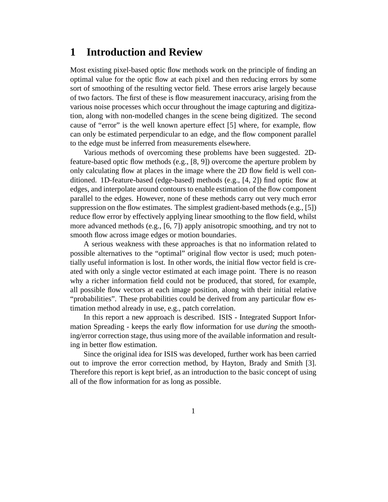## **1 Introduction and Review**

Most existing pixel-based optic flow methods work on the principle of finding an optimal value for the optic flow at each pixel and then reducing errors by some sort of smoothing of the resulting vector field. These errors arise largely because of two factors. The first of these is flow measurement inaccuracy, arising from the various noise processes which occur throughout the image capturing and digitization, along with non-modelled changes in the scene being digitized. The second cause of "error" is the well known aperture effect [5] where, for example, flow can only be estimated perpendicular to an edge, and the flow component parallel to the edge must be inferred from measurements elsewhere.

Various methods of overcoming these problems have been suggested. 2Dfeature-based optic flow methods (e.g., [8, 9]) overcome the aperture problem by only calculating flow at places in the image where the 2D flow field is well conditioned. 1D-feature-based (edge-based) methods (e.g., [4, 2]) find optic flow at edges, and interpolate around contours to enable estimation of the flow component parallel to the edges. However, none of these methods carry out very much error suppression on the flow estimates. The simplest gradient-based methods (e.g., [5]) reduce flow error by effectively applying linear smoothing to the flow field, whilst more advanced methods (e.g., [6, 7]) apply anisotropic smoothing, and try not to smooth flow across image edges or motion boundaries.

A serious weakness with these approaches is that no information related to possible alternatives to the "optimal" original flow vector is used; much potentially useful information is lost. In other words, the initial flow vector field is created with only a single vector estimated at each image point. There is no reason why a richer information field could not be produced, that stored, for example, all possible flow vectors at each image position, along with their initial relative "probabilities". These probabilities could be derived from any particular flow estimation method already in use, e.g., patch correlation.

In this report a new approach is described. ISIS - Integrated Support Information Spreading - keeps the early flow information for use *during* the smoothing/error correction stage, thus using more of the available information and resulting in better flow estimation.

Since the original idea for ISIS was developed, further work has been carried out to improve the error correction method, by Hayton, Brady and Smith [3]. Therefore this report is kept brief, as an introduction to the basic concept of using all of the flow information for as long as possible.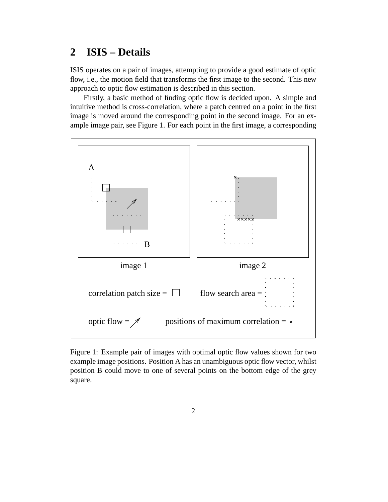# **2 ISIS – Details**

ISIS operates on a pair of images, attempting to provide a good estimate of optic flow, i.e., the motion field that transforms the first image to the second. This new approach to optic flow estimation is described in this section.

Firstly, a basic method of finding optic flow is decided upon. A simple and intuitive method is cross-correlation, where a patch centred on a point in the first image is moved around the corresponding point in the second image. For an example image pair, see Figure 1. For each point in the first image, a corresponding



Figure 1: Example pair of images with optimal optic flow values shown for two example image positions. Position A has an unambiguous optic flow vector, whilst position B could move to one of several points on the bottom edge of the grey square.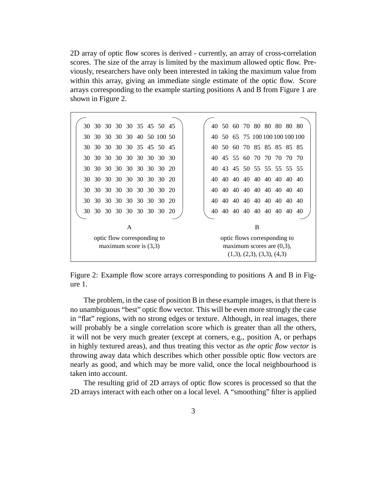2D array of optic flow scores is derived - currently, an array of cross-correlation scores. The size of the array is limited by the maximum allowed optic flow. Previously, researchers have only been interested in taking the maximum value from within this array, giving an immediate single estimate of the optic flow. Score arrays corresponding to the example starting positions A and B from Figure 1 are shown in Figure 2.

| 30                       |                               |  |  |  |  |  | 30 30 30 30 35 45 50 45 |    |  | 40  |                              |  |  |  |  |                      | 50 60 70 80 80 80 80 80      |    |  |
|--------------------------|-------------------------------|--|--|--|--|--|-------------------------|----|--|-----|------------------------------|--|--|--|--|----------------------|------------------------------|----|--|
|                          | 30 30                         |  |  |  |  |  | 30 30 30 40 50 100 50   |    |  | 40. |                              |  |  |  |  |                      | 50 65 75 100 100 100 100 100 |    |  |
|                          | 30 30 30 30 30 35 45 50 45    |  |  |  |  |  |                         |    |  | 40. |                              |  |  |  |  |                      | 50 60 70 85 85 85 85 85      |    |  |
|                          | 30 30                         |  |  |  |  |  | 30 30 30 30 30 30 30 30 |    |  | 40  |                              |  |  |  |  |                      | 45 55 60 70 70 70 70 70      |    |  |
|                          | 30 30                         |  |  |  |  |  | 30 30 30 30 30 30 20    |    |  | 40. |                              |  |  |  |  |                      | 43 45 50 55 55 55 55 55      |    |  |
|                          | 30 30 30 30 30 30 30 30 30 20 |  |  |  |  |  |                         |    |  | 40  |                              |  |  |  |  |                      | 40 40 40 40 40 40 40 40 40   |    |  |
| 30.                      | 30                            |  |  |  |  |  | 30 30 30 30 30 30 20    |    |  | 40  |                              |  |  |  |  | 40 40 40 40 40 40    | 40 40                        |    |  |
|                          | 30 30                         |  |  |  |  |  | 30 30 30 30 30 30 20    |    |  | 40. |                              |  |  |  |  | 40 40 40 40 40 40    | 40 40                        |    |  |
|                          | 30 30                         |  |  |  |  |  | 30 30 30 30 30 30       | 20 |  | 40  |                              |  |  |  |  | 40 40 40 40 40 40 40 |                              | 40 |  |
|                          |                               |  |  |  |  |  |                         |    |  |     |                              |  |  |  |  |                      |                              |    |  |
|                          | A                             |  |  |  |  |  |                         |    |  | B   |                              |  |  |  |  |                      |                              |    |  |
|                          | optic flow corresponding to   |  |  |  |  |  |                         |    |  |     | optic flows corresponding to |  |  |  |  |                      |                              |    |  |
| maximum score is $(3,3)$ |                               |  |  |  |  |  |                         |    |  |     | maximum scores are $(0,3)$ , |  |  |  |  |                      |                              |    |  |
|                          |                               |  |  |  |  |  |                         |    |  |     |                              |  |  |  |  |                      |                              |    |  |
|                          | (1,3), (2,3), (3,3), (4,3)    |  |  |  |  |  |                         |    |  |     |                              |  |  |  |  |                      |                              |    |  |

Figure 2: Example flow score arrays corresponding to positions A and B in Figure 1.

The problem, in the case of position B in these example images, is that there is no unambiguous "best" optic flow vector. This will be even more strongly the case in "flat" regions, with no strong edges or texture. Although, in real images, there will probably be a single correlation score which is greater than all the others, it will not be very much greater (except at corners, e.g., position A, or perhaps in highly textured areas), and thus treating this vector as *the optic flow vector* is throwing away data which describes which other possible optic flow vectors are nearly as good, and which may be more valid, once the local neighbourhood is taken into account.

The resulting grid of 2D arrays of optic flow scores is processed so that the 2D arrays interact with each other on a local level. A "smoothing" filter is applied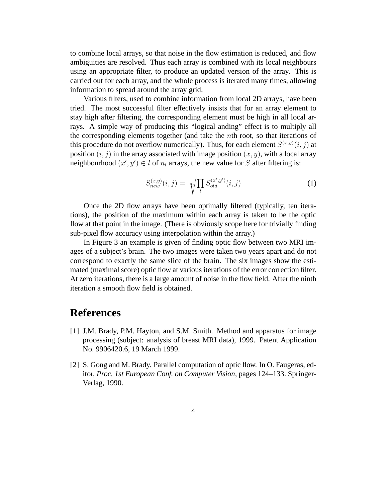to combine local arrays, so that noise in the flow estimation is reduced, and flow ambiguities are resolved. Thus each array is combined with its local neighbours using an appropriate filter, to produce an updated version of the array. This is carried out for each array, and the whole process is iterated many times, allowing information to spread around the array grid.

Various filters, used to combine information from local 2D arrays, have been tried. The most successful filter effectively insists that for an array element to stay high after filtering, the corresponding element must be high in all local arrays. A simple way of producing this "logical anding" effect is to multiply all the corresponding elements together (and take the  $n$ th root, so that iterations of this procedure do not overflow numerically). Thus, for each element  $S^{(x,y)}(i,j)$  at position  $(i, j)$  in the array associated with image position  $(x, y)$ , with a local array neighbourhood  $(x', y') \in l$  of  $n_l$  arrays, the new value for S after filtering is:

$$
S_{new}^{(x,y)}(i,j) = \sqrt[n]{\prod_{l} S_{old}^{(x',y')}(i,j)}
$$
(1)

Once the 2D flow arrays have been optimally filtered (typically, ten iterations), the position of the maximum within each array is taken to be the optic flow at that point in the image. (There is obviously scope here for trivially finding sub-pixel flow accuracy using interpolation within the array.)

In Figure 3 an example is given of finding optic flow between two MRI images of a subject's brain. The two images were taken two years apart and do not correspond to exactly the same slice of the brain. The six images show the estimated (maximal score) optic flow at various iterations of the error correction filter. At zero iterations, there is a large amount of noise in the flow field. After the ninth iteration a smooth flow field is obtained.

# **References**

- [1] J.M. Brady, P.M. Hayton, and S.M. Smith. Method and apparatus for image processing (subject: analysis of breast MRI data), 1999. Patent Application No. 9906420.6, 19 March 1999.
- [2] S. Gong and M. Brady. Parallel computation of optic flow. In O. Faugeras, editor, *Proc. 1st European Conf. on Computer Vision*, pages 124–133. Springer-Verlag, 1990.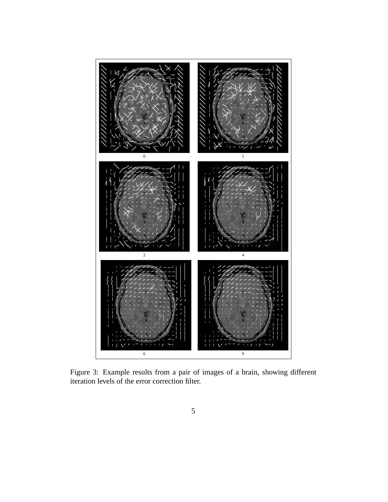

Figure 3: Example results from a pair of images of a brain, showing different iteration levels of the error correction filter.